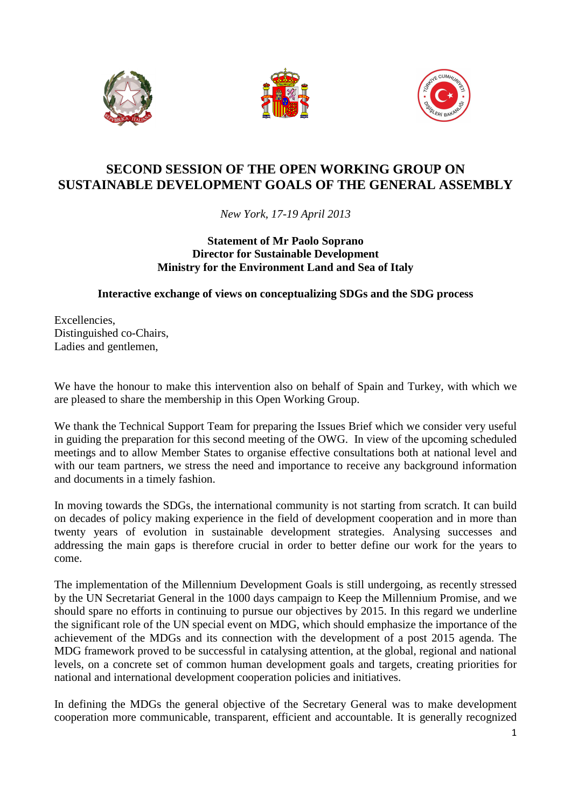





## **SECOND SESSION OF THE OPEN WORKING GROUP ON SUSTAINABLE DEVELOPMENT GOALS OF THE GENERAL ASSEMBLY**

*New York, 17-19 April 2013* 

## **Statement of Mr Paolo Soprano Director for Sustainable Development Ministry for the Environment Land and Sea of Italy**

## **Interactive exchange of views on conceptualizing SDGs and the SDG process**

Excellencies, Distinguished co-Chairs, Ladies and gentlemen,

We have the honour to make this intervention also on behalf of Spain and Turkey, with which we are pleased to share the membership in this Open Working Group.

We thank the Technical Support Team for preparing the Issues Brief which we consider very useful in guiding the preparation for this second meeting of the OWG. In view of the upcoming scheduled meetings and to allow Member States to organise effective consultations both at national level and with our team partners, we stress the need and importance to receive any background information and documents in a timely fashion.

In moving towards the SDGs, the international community is not starting from scratch. It can build on decades of policy making experience in the field of development cooperation and in more than twenty years of evolution in sustainable development strategies. Analysing successes and addressing the main gaps is therefore crucial in order to better define our work for the years to come.

The implementation of the Millennium Development Goals is still undergoing, as recently stressed by the UN Secretariat General in the 1000 days campaign to Keep the Millennium Promise, and we should spare no efforts in continuing to pursue our objectives by 2015. In this regard we underline the significant role of the UN special event on MDG, which should emphasize the importance of the achievement of the MDGs and its connection with the development of a post 2015 agenda. The MDG framework proved to be successful in catalysing attention, at the global, regional and national levels, on a concrete set of common human development goals and targets, creating priorities for national and international development cooperation policies and initiatives.

In defining the MDGs the general objective of the Secretary General was to make development cooperation more communicable, transparent, efficient and accountable. It is generally recognized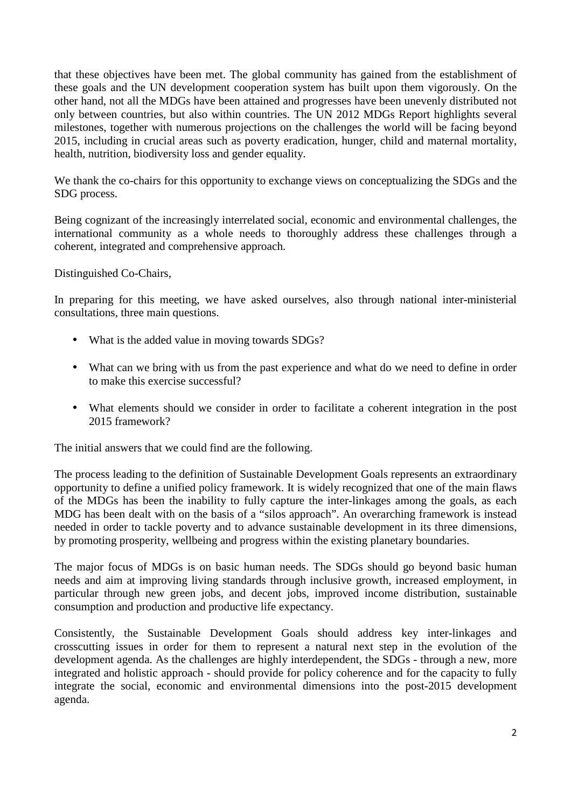that these objectives have been met. The global community has gained from the establishment of these goals and the UN development cooperation system has built upon them vigorously. On the other hand, not all the MDGs have been attained and progresses have been unevenly distributed not only between countries, but also within countries. The UN 2012 MDGs Report highlights several milestones, together with numerous projections on the challenges the world will be facing beyond 2015, including in crucial areas such as poverty eradication, hunger, child and maternal mortality, health, nutrition, biodiversity loss and gender equality.

We thank the co-chairs for this opportunity to exchange views on conceptualizing the SDGs and the SDG process.

Being cognizant of the increasingly interrelated social, economic and environmental challenges, the international community as a whole needs to thoroughly address these challenges through a coherent, integrated and comprehensive approach.

Distinguished Co-Chairs,

In preparing for this meeting, we have asked ourselves, also through national inter-ministerial consultations, three main questions.

- What is the added value in moving towards SDGs?
- What can we bring with us from the past experience and what do we need to define in order to make this exercise successful?
- What elements should we consider in order to facilitate a coherent integration in the post 2015 framework?

The initial answers that we could find are the following.

The process leading to the definition of Sustainable Development Goals represents an extraordinary opportunity to define a unified policy framework. It is widely recognized that one of the main flaws of the MDGs has been the inability to fully capture the inter-linkages among the goals, as each MDG has been dealt with on the basis of a "silos approach". An overarching framework is instead needed in order to tackle poverty and to advance sustainable development in its three dimensions, by promoting prosperity, wellbeing and progress within the existing planetary boundaries.

The major focus of MDGs is on basic human needs. The SDGs should go beyond basic human needs and aim at improving living standards through inclusive growth, increased employment, in particular through new green jobs, and decent jobs, improved income distribution, sustainable consumption and production and productive life expectancy.

Consistently, the Sustainable Development Goals should address key inter-linkages and crosscutting issues in order for them to represent a natural next step in the evolution of the development agenda. As the challenges are highly interdependent, the SDGs - through a new, more integrated and holistic approach - should provide for policy coherence and for the capacity to fully integrate the social, economic and environmental dimensions into the post-2015 development agenda.